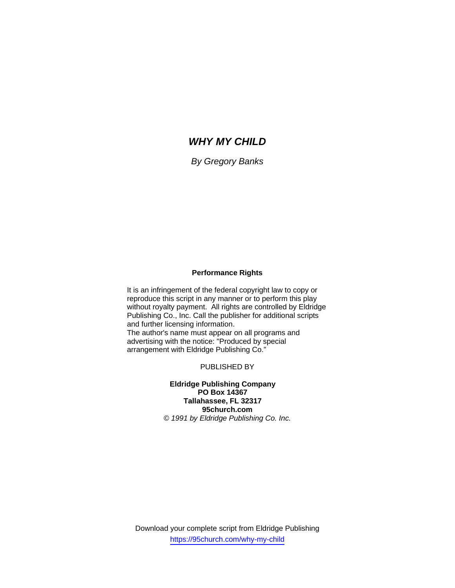# *WHY MY CHILD*

*By Gregory Banks* 

## **Performance Rights**

It is an infringement of the federal copyright law to copy or reproduce this script in any manner or to perform this play without royalty payment. All rights are controlled by Eldridge Publishing Co., Inc. Call the publisher for additional scripts and further licensing information. The author's name must appear on all programs and

advertising with the notice: "Produced by special arrangement with Eldridge Publishing Co."

PUBLISHED BY

**Eldridge Publishing Company PO Box 14367 Tallahassee, FL 32317 95church.com**  *© 1991 by Eldridge Publishing Co. Inc.*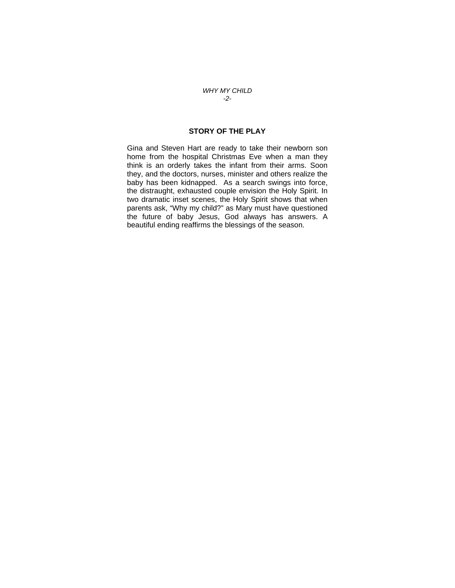### *WHY MY CHILD -2-*

## **STORY OF THE PLAY**

Gina and Steven Hart are ready to take their newborn son home from the hospital Christmas Eve when a man they think is an orderly takes the infant from their arms. Soon they, and the doctors, nurses, minister and others realize the baby has been kidnapped. As a search swings into force, the distraught, exhausted couple envision the Holy Spirit. In two dramatic inset scenes, the Holy Spirit shows that when parents ask, "Why my child?" as Mary must have questioned the future of baby Jesus, God always has answers. A beautiful ending reaffirms the blessings of the season.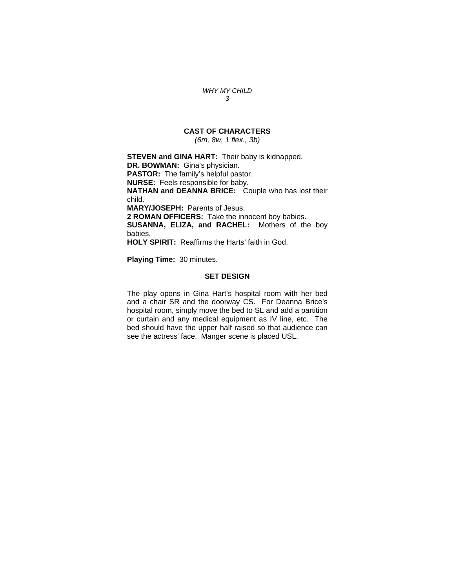#### *WHY MY CHILD -3-*

## **CAST OF CHARACTERS**

*(6m, 8w, 1 flex., 3b)* 

**STEVEN and GINA HART:** Their baby is kidnapped. **DR. BOWMAN:** Gina's physician. **PASTOR:** The family's helpful pastor. **NURSE:** Feels responsible for baby. **NATHAN and DEANNA BRICE:** Couple who has lost their child. **MARY/JOSEPH:** Parents of Jesus. **2 ROMAN OFFICERS:** Take the innocent boy babies. **SUSANNA, ELIZA, and RACHEL:** Mothers of the boy babies. **HOLY SPIRIT:** Reaffirms the Harts' faith in God.

**Playing Time:** 30 minutes.

### **SET DESIGN**

The play opens in Gina Hart's hospital room with her bed and a chair SR and the doorway CS. For Deanna Brice's hospital room, simply move the bed to SL and add a partition or curtain and any medical equipment as IV line, etc. The bed should have the upper half raised so that audience can see the actress' face. Manger scene is placed USL.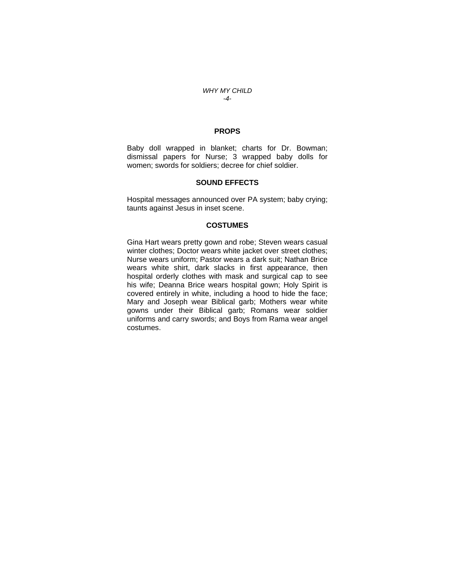#### *WHY MY CHILD -4-*

## **PROPS**

Baby doll wrapped in blanket; charts for Dr. Bowman; dismissal papers for Nurse; 3 wrapped baby dolls for women; swords for soldiers; decree for chief soldier.

#### **SOUND EFFECTS**

Hospital messages announced over PA system; baby crying; taunts against Jesus in inset scene.

## **COSTUMES**

Gina Hart wears pretty gown and robe; Steven wears casual winter clothes; Doctor wears white jacket over street clothes; Nurse wears uniform; Pastor wears a dark suit; Nathan Brice wears white shirt, dark slacks in first appearance, then hospital orderly clothes with mask and surgical cap to see his wife; Deanna Brice wears hospital gown; Holy Spirit is covered entirely in white, including a hood to hide the face; Mary and Joseph wear Biblical garb; Mothers wear white gowns under their Biblical garb; Romans wear soldier uniforms and carry swords; and Boys from Rama wear angel costumes.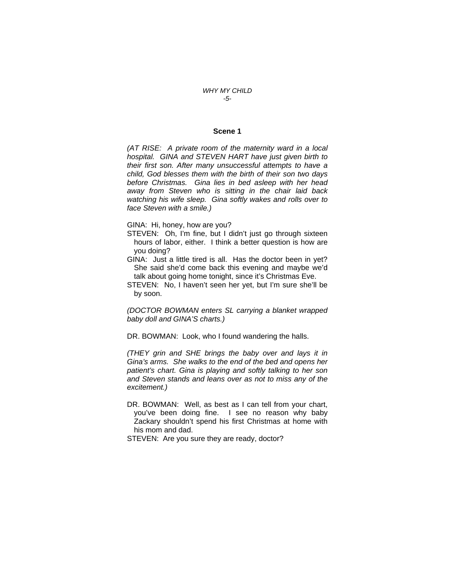### *WHY MY CHILD -5-*

### **Scene 1**

*(AT RISE: A private room of the maternity ward in a local hospital. GINA and STEVEN HART have just given birth to their first son. After many unsuccessful attempts to have a child, God blesses them with the birth of their son two days before Christmas. Gina lies in bed asleep with her head away from Steven who is sitting in the chair laid back watching his wife sleep. Gina softly wakes and rolls over to face Steven with a smile.)* 

GINA: Hi, honey, how are you?

- STEVEN: Oh, I'm fine, but I didn't just go through sixteen hours of labor, either. I think a better question is how are you doing?
- GINA: Just a little tired is all. Has the doctor been in yet? She said she'd come back this evening and maybe we'd talk about going home tonight, since it's Christmas Eve.
- STEVEN: No, I haven't seen her yet, but I'm sure she'll be by soon.

*(DOCTOR BOWMAN enters SL carrying a blanket wrapped baby doll and GINA'S charts.)* 

DR. BOWMAN: Look, who I found wandering the halls.

*(THEY grin and SHE brings the baby over and lays it in Gina's arms. She walks to the end of the bed and opens her patient's chart. Gina is playing and softly talking to her son and Steven stands and leans over as not to miss any of the excitement.)* 

DR. BOWMAN: Well, as best as I can tell from your chart, you've been doing fine. I see no reason why baby Zackary shouldn't spend his first Christmas at home with his mom and dad.

STEVEN: Are you sure they are ready, doctor?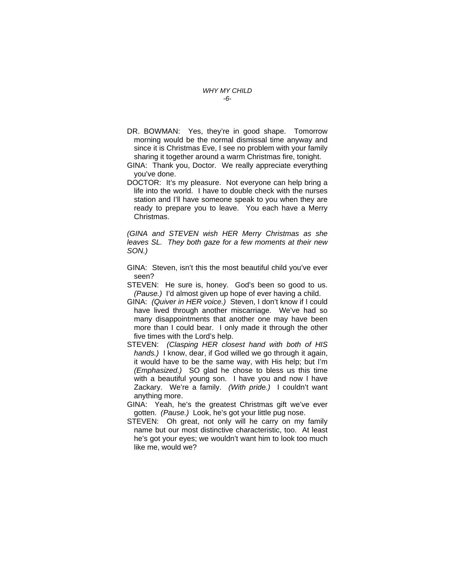#### *WHY MY CHILD -6-*

- DR. BOWMAN: Yes, they're in good shape. Tomorrow morning would be the normal dismissal time anyway and since it is Christmas Eve, I see no problem with your family sharing it together around a warm Christmas fire, tonight.
- GINA: Thank you, Doctor. We really appreciate everything you've done.
- DOCTOR: It's my pleasure. Not everyone can help bring a life into the world. I have to double check with the nurses station and I'll have someone speak to you when they are ready to prepare you to leave. You each have a Merry Christmas.

*(GINA and STEVEN wish HER Merry Christmas as she leaves SL. They both gaze for a few moments at their new SON.)* 

- GINA: Steven, isn't this the most beautiful child you've ever seen?
- STEVEN: He sure is, honey. God's been so good to us. *(Pause.)* I'd almost given up hope of ever having a child.
- GINA: *(Quiver in HER voice.)* Steven, I don't know if I could have lived through another miscarriage. We've had so many disappointments that another one may have been more than I could bear. I only made it through the other five times with the Lord's help.
- STEVEN: *(Clasping HER closest hand with both of HIS hands.)* I know, dear, if God willed we go through it again, it would have to be the same way, with His help; but I'm *(Emphasized.)* SO glad he chose to bless us this time with a beautiful young son. I have you and now I have Zackary. We're a family. *(With pride.)* I couldn't want anything more.
- GINA: Yeah, he's the greatest Christmas gift we've ever gotten. *(Pause.)* Look, he's got your little pug nose.
- STEVEN: Oh great, not only will he carry on my family name but our most distinctive characteristic, too. At least he's got your eyes; we wouldn't want him to look too much like me, would we?